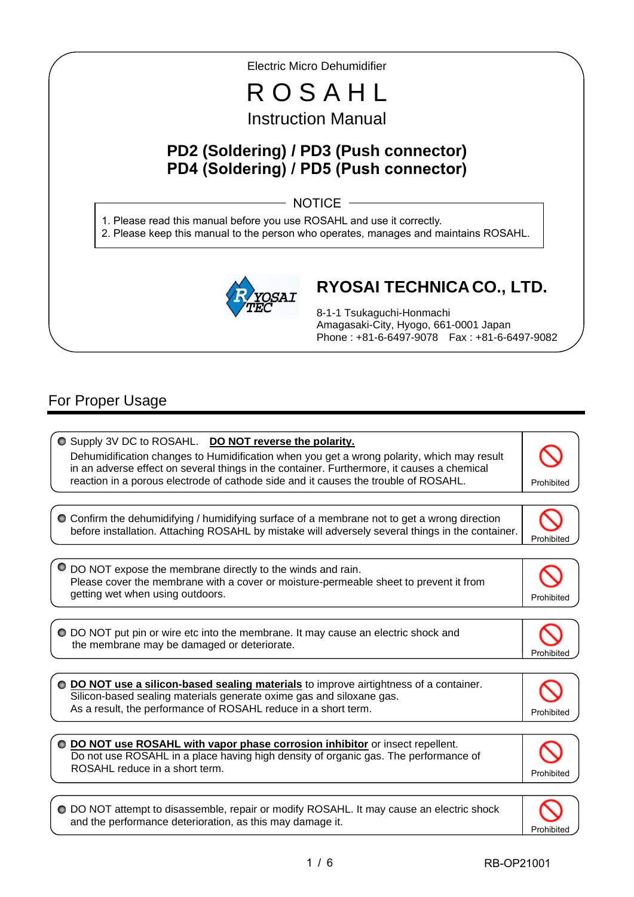Electric Micro Dehumidifier R O S A H L Instruction Manual **PD2 (Soldering) / PD3 (Push connector) PD4 (Soldering) / PD5 (Push connector) RYOSAI TECHNICA CO., LTD.** 8-1-1 Tsukaguchi-Honmachi Amagasaki-City, Hyogo, 661-0001 Japan Phone : +81-6-6497-9078 Fax : +81-6-6497-9082 1. Please read this manual before you use ROSAHL and use it correctly. 2. Please keep this manual to the person who operates, manages and maintains ROSAHL.  $-$  NOTICE  $-$ 

# For Proper Usage

I I

I

 $\overline{\phantom{a}}$ 

| O Supply 3V DC to ROSAHL. DO NOT reverse the polarity.<br>Dehumidification changes to Humidification when you get a wrong polarity, which may result<br>in an adverse effect on several things in the container. Furthermore, it causes a chemical<br>reaction in a porous electrode of cathode side and it causes the trouble of ROSAHL. | Prohibited |
|-------------------------------------------------------------------------------------------------------------------------------------------------------------------------------------------------------------------------------------------------------------------------------------------------------------------------------------------|------------|
| O Confirm the dehumidifying / humidifying surface of a membrane not to get a wrong direction<br>before installation. Attaching ROSAHL by mistake will adversely several things in the container.                                                                                                                                          | Prohibited |
| DO NOT expose the membrane directly to the winds and rain.<br>Please cover the membrane with a cover or moisture-permeable sheet to prevent it from<br>getting wet when using outdoors.                                                                                                                                                   | Prohibited |
| O DO NOT put pin or wire etc into the membrane. It may cause an electric shock and<br>the membrane may be damaged or deteriorate.                                                                                                                                                                                                         | Prohibited |
| O DO NOT use a silicon-based sealing materials to improve airtightness of a container.<br>Silicon-based sealing materials generate oxime gas and siloxane gas.<br>As a result, the performance of ROSAHL reduce in a short term.                                                                                                          | Prohibited |
| O DO NOT use ROSAHL with vapor phase corrosion inhibitor or insect repellent.<br>Do not use ROSAHL in a place having high density of organic gas. The performance of<br>ROSAHL reduce in a short term.                                                                                                                                    | Prohibited |
| ○ DO NOT attempt to disassemble, repair or modify ROSAHL. It may cause an electric shock<br>and the performance deterioration, as this may damage it.                                                                                                                                                                                     |            |

1 / 6 RB-OP21001

Prohibited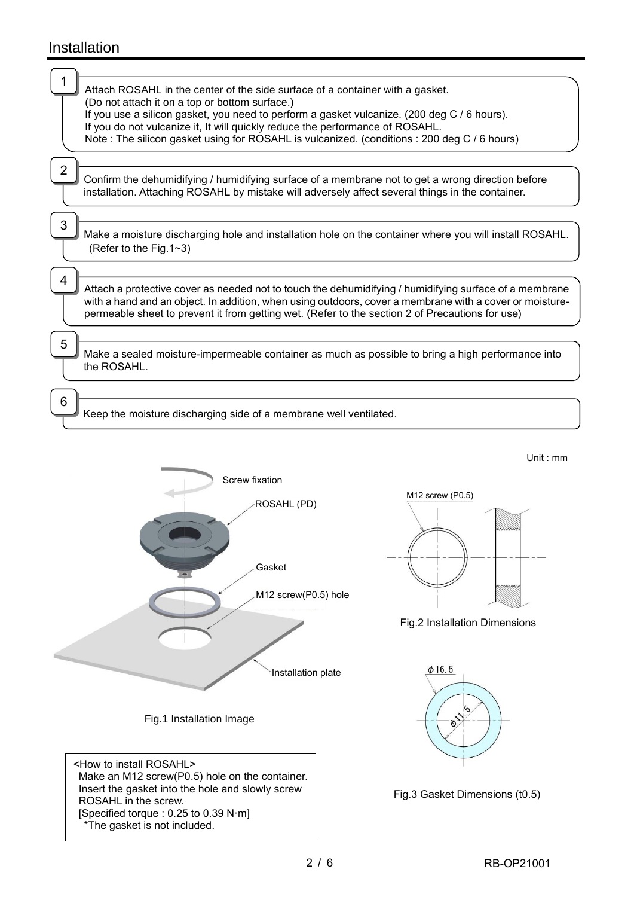# Installation

|   | Attach ROSAHL in the center of the side surface of a container with a gasket.<br>(Do not attach it on a top or bottom surface.)<br>If you use a silicon gasket, you need to perform a gasket vulcanize. (200 deg C / 6 hours).<br>If you do not vulcanize it, It will quickly reduce the performance of ROSAHL.<br>Note: The silicon gasket using for ROSAHL is vulcanized. (conditions: 200 deg C / 6 hours) |
|---|---------------------------------------------------------------------------------------------------------------------------------------------------------------------------------------------------------------------------------------------------------------------------------------------------------------------------------------------------------------------------------------------------------------|
| 2 | Confirm the dehumidifying / humidifying surface of a membrane not to get a wrong direction before<br>installation. Attaching ROSAHL by mistake will adversely affect several things in the container.                                                                                                                                                                                                         |
| 3 | Make a moisture discharging hole and installation hole on the container where you will install ROSAHL.<br>(Refer to the Fig. $1~3$ )                                                                                                                                                                                                                                                                          |
| 4 | Attach a protective cover as needed not to touch the dehumidifying / humidifying surface of a membrane<br>with a hand and an object. In addition, when using outdoors, cover a membrane with a cover or moisture-<br>permeable sheet to prevent it from getting wet. (Refer to the section 2 of Precautions for use)                                                                                          |
| 5 | Make a sealed moisture-impermeable container as much as possible to bring a high performance into<br>the ROSAHL.                                                                                                                                                                                                                                                                                              |
| 6 | Keep the moisture discharging side of a membrane well ventilated.                                                                                                                                                                                                                                                                                                                                             |
|   | Unit: $mm$<br>Screw fixation<br>$M12$ screw (P0.5)                                                                                                                                                                                                                                                                                                                                                            |



[Specified torque : 0.25 to 0.39 N·m]

\*The gasket is not included.

Fig.2 Installation Dimensions



Fig.3 Gasket Dimensions (t0.5)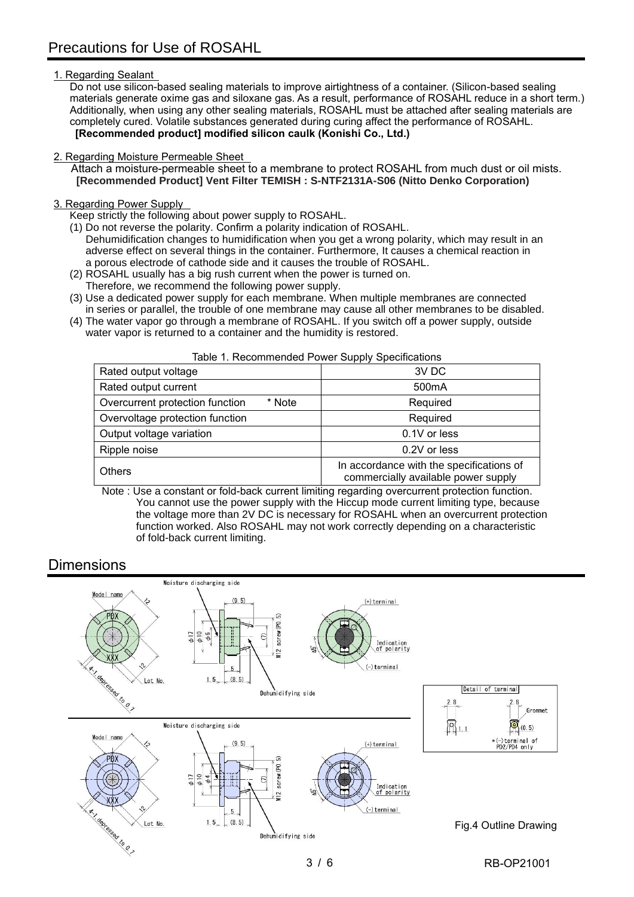### 1. Regarding Sealant

Do not use silicon-based sealing materials to improve airtightness of a container. (Silicon-based sealing materials generate oxime gas and siloxane gas. As a result, performance of ROSAHL reduce in a short term.) Additionally, when using any other sealing materials, ROSAHL must be attached after sealing materials are completely cured. Volatile substances generated during curing affect the performance of ROSAHL. **[Recommended product] modified silicon caulk (Konishi Co., Ltd.)**

### 2. Regarding Moisture Permeable Sheet

Attach a moisture-permeable sheet to a membrane to protect ROSAHL from much dust or oil mists. **[Recommended Product] Vent Filter TEMISH : S-NTF2131A-S06 (Nitto Denko Corporation)**

#### 3. Regarding Power Supply

Keep strictly the following about power supply to ROSAHL.

- (1) Do not reverse the polarity. Confirm a polarity indication of ROSAHL. Dehumidification changes to humidification when you get a wrong polarity, which may result in an adverse effect on several things in the container. Furthermore, It causes a chemical reaction in a porous electrode of cathode side and it causes the trouble of ROSAHL.
- (2) ROSAHL usually has a big rush current when the power is turned on.
- Therefore, we recommend the following power supply.
- (3) Use a dedicated power supply for each membrane. When multiple membranes are connected in series or parallel, the trouble of one membrane may cause all other membranes to be disabled.
- (4) The water vapor go through a membrane of ROSAHL. If you switch off a power supply, outside water vapor is returned to a container and the humidity is restored.

| Rated output voltage                      | 3V DC                                                                           |
|-------------------------------------------|---------------------------------------------------------------------------------|
| Rated output current                      | 500 <sub>m</sub> A                                                              |
| Overcurrent protection function<br>* Note | Required                                                                        |
| Overvoltage protection function           | Required                                                                        |
| Output voltage variation                  | 0.1V or less                                                                    |
| Ripple noise                              | 0.2V or less                                                                    |
| <b>Others</b>                             | In accordance with the specifications of<br>commercially available power supply |

Table 1. Recommended Power Supply Specifications

 Note : Use a constant or fold-back current limiting regarding overcurrent protection function. You cannot use the power supply with the Hiccup mode current limiting type, because the voltage more than 2V DC is necessary for ROSAHL when an overcurrent protection function worked. Also ROSAHL may not work correctly depending on a characteristic of fold-back current limiting.

# **Dimensions**

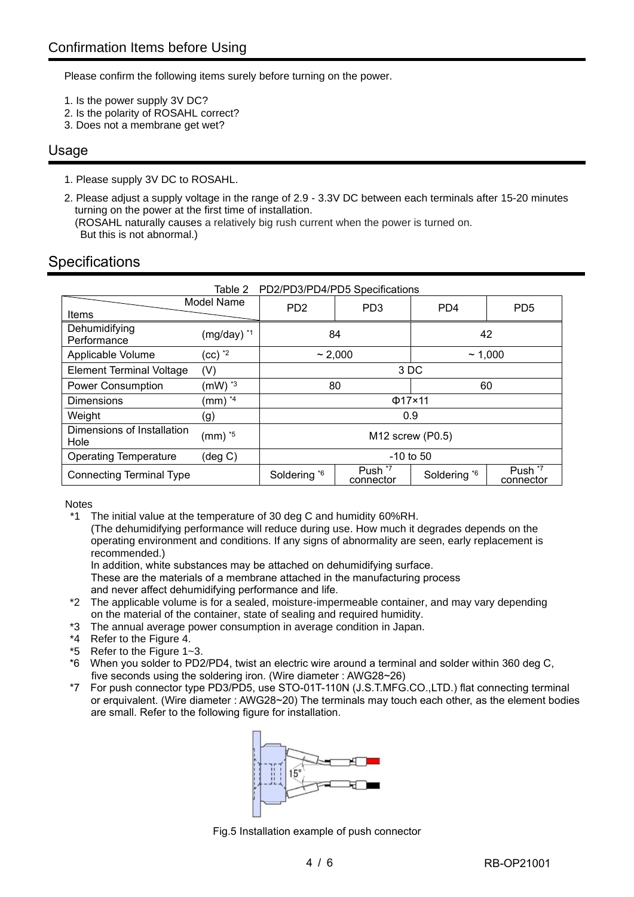Please confirm the following items surely before turning on the power.

- 1. Is the power supply 3V DC?
- 2. Is the polarity of ROSAHL correct?
- 3. Does not a membrane get wet?

## Usage

- 1. Please supply 3V DC to ROSAHL.
- 2. Please adjust a supply voltage in the range of 2.9 3.3V DC between each terminals after 15-20 minutes turning on the power at the first time of installation. (ROSAHL naturally causes a relatively big rush current when the power is turned on. But this is not abnormal.)

# **Specifications**

|                                    | PD2/PD3/PD4/PD5 Specifications<br>Table 2 |                                                                                                    |                 |                 |                 |
|------------------------------------|-------------------------------------------|----------------------------------------------------------------------------------------------------|-----------------|-----------------|-----------------|
| Model Name<br><b>Items</b>         |                                           | P <sub>D</sub> <sub>2</sub>                                                                        | PD <sub>3</sub> | PD <sub>4</sub> | PD <sub>5</sub> |
| Dehumidifying<br>Performance       | $(mg/day)$ $*1$                           | 84                                                                                                 |                 | 42              |                 |
| Applicable Volume                  | $(cc)$ $^*$                               | ~2.000<br>~1,000                                                                                   |                 |                 |                 |
| <b>Element Terminal Voltage</b>    | (V)                                       | 3 DC                                                                                               |                 |                 |                 |
| <b>Power Consumption</b>           | $(mW)$ $*3$                               | 80<br>60                                                                                           |                 |                 |                 |
| <b>Dimensions</b>                  | $(mm)$ $*4$                               | $\Phi$ 17×11                                                                                       |                 |                 |                 |
| Weight                             | (g)                                       | 0.9                                                                                                |                 |                 |                 |
| Dimensions of Installation<br>Hole | $(mm)$ $*5$                               | $M12$ screw (P0.5)                                                                                 |                 |                 |                 |
| <b>Operating Temperature</b>       | $(\text{deg } C)$                         | $-10$ to 50                                                                                        |                 |                 |                 |
| <b>Connecting Terminal Type</b>    |                                           | Push <sup>*7</sup><br>Push <sup>*7</sup><br>Soldering *6<br>Soldering *6<br>connector<br>connector |                 |                 |                 |

Notes

\*1 The initial value at the temperature of 30 deg C and humidity 60%RH.

(The dehumidifying performance will reduce during use. How much it degrades depends on the operating environment and conditions. If any signs of abnormality are seen, early replacement is recommended.)

In addition, white substances may be attached on dehumidifying surface.

These are the materials of a membrane attached in the manufacturing process and never affect dehumidifying performance and life.

- \*2 The applicable volume is for a sealed, moisture-impermeable container, and may vary depending on the material of the container, state of sealing and required humidity.
- \*3 The annual average power consumption in average condition in Japan.
- \*4 Refer to the Figure 4.
- \*5 Refer to the Figure 1~3.
- \*6 When you solder to PD2/PD4, twist an electric wire around a terminal and solder within 360 deg C, five seconds using the soldering iron. (Wire diameter : AWG28~26)
- For push connector type PD3/PD5, use STO-01T-110N (J.S.T.MFG.CO.,LTD.) flat connecting terminal or erquivalent. (Wire diameter : AWG28~20) The terminals may touch each other, as the element bodies are small. Refer to the following figure for installation.



Fig.5 Installation example of push connector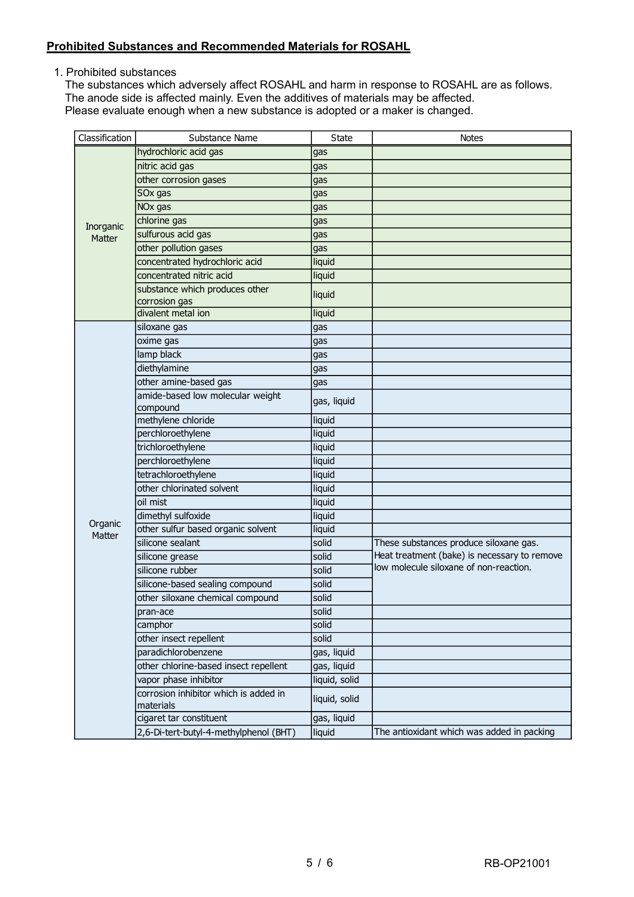## **Prohibited Substances and Recommended Materials for ROSAHL**

1. Prohibited substances

The substances which adversely affect ROSAHL and harm in response to ROSAHL are as follows. The anode side is affected mainly. Even the additives of materials may be affected. Please evaluate enough when a new substance is adopted or a maker is changed.

| Classification | Substance Name                                     | <b>State</b>  | <b>Notes</b>                                                                           |
|----------------|----------------------------------------------------|---------------|----------------------------------------------------------------------------------------|
|                | hydrochloric acid gas                              | gas           |                                                                                        |
|                | nitric acid gas                                    | gas           |                                                                                        |
|                | other corrosion gases                              | gas           |                                                                                        |
|                | SOx gas                                            | gas           |                                                                                        |
|                | NO <sub>x</sub> gas                                | gas           |                                                                                        |
| Inorganic      | chlorine gas                                       | gas           |                                                                                        |
| Matter         | sulfurous acid gas                                 | gas           |                                                                                        |
|                | other pollution gases                              | gas           |                                                                                        |
|                | concentrated hydrochloric acid                     | liquid        |                                                                                        |
|                | concentrated nitric acid                           | liquid        |                                                                                        |
|                | substance which produces other                     | liquid        |                                                                                        |
|                | corrosion gas                                      |               |                                                                                        |
|                | divalent metal ion                                 | liquid        |                                                                                        |
|                | siloxane gas                                       | gas           |                                                                                        |
|                | oxime gas                                          | gas           |                                                                                        |
|                | lamp black                                         | gas           |                                                                                        |
|                | diethylamine                                       | gas           |                                                                                        |
|                | other amine-based gas                              | gas           |                                                                                        |
|                | amide-based low molecular weight                   | gas, liquid   |                                                                                        |
|                | compound                                           |               |                                                                                        |
|                | methylene chloride                                 | liquid        |                                                                                        |
|                | perchloroethylene                                  | liquid        |                                                                                        |
|                | trichloroethylene                                  | liquid        |                                                                                        |
|                | perchloroethylene                                  | liquid        |                                                                                        |
|                | tetrachloroethylene<br>other chlorinated solvent   | liquid        |                                                                                        |
|                |                                                    | liquid        |                                                                                        |
|                | oil mist                                           | liquid        |                                                                                        |
| Organic        | dimethyl sulfoxide                                 | liquid        |                                                                                        |
| Matter         | other sulfur based organic solvent                 | liquid        |                                                                                        |
|                | silicone sealant                                   | solid         | These substances produce siloxane gas.<br>Heat treatment (bake) is necessary to remove |
|                | silicone grease                                    | solid         | low molecule siloxane of non-reaction.                                                 |
|                | silicone rubber                                    | solid         |                                                                                        |
|                | silicone-based sealing compound                    | solid         |                                                                                        |
|                | other siloxane chemical compound                   | solid         |                                                                                        |
|                | pran-ace                                           | solid         |                                                                                        |
|                | camphor                                            | solid         |                                                                                        |
|                | other insect repellent                             | solid         |                                                                                        |
|                | paradichlorobenzene                                | gas, liquid   |                                                                                        |
|                | other chlorine-based insect repellent              | gas, liquid   |                                                                                        |
|                | vapor phase inhibitor                              | liquid, solid |                                                                                        |
|                | corrosion inhibitor which is added in<br>materials | liquid, solid |                                                                                        |
|                | cigaret tar constituent                            | gas, liquid   |                                                                                        |
|                | 2,6-Di-tert-butyl-4-methylphenol (BHT)             | liquid        | The antioxidant which was added in packing                                             |